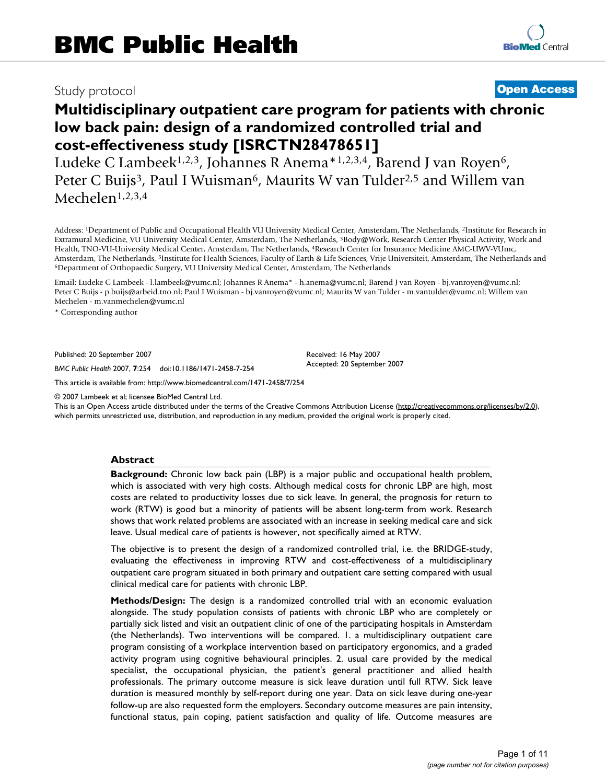# Study protocol **[Open Access](http://www.biomedcentral.com/info/about/charter/)**

# **Multidisciplinary outpatient care program for patients with chronic low back pain: design of a randomized controlled trial and cost-effectiveness study [ISRCTN28478651]**

Ludeke C Lambeek<sup>1,2,3</sup>, Johannes R Anema<sup>\*1,2,3,4</sup>, Barend J van Royen<sup>6</sup>, Peter C Buijs<sup>3</sup>, Paul I Wuisman<sup>6</sup>, Maurits W van Tulder<sup>2,5</sup> and Willem van Mechelen1,2,3,4

Address: 1Department of Public and Occupational Health VU University Medical Center, Amsterdam, The Netherlands, 2Institute for Research in Extramural Medicine, VU University Medical Center, Amsterdam, The Netherlands, 3Body@Work, Research Center Physical Activity, Work and Health, TNO-VU-University Medical Center, Amsterdam, The Netherlands, 4Research Center for Insurance Medicine AMC-UWV-VUmc, Amsterdam, The Netherlands, <sup>5</sup>Institute for Health Sciences, Faculty of Earth & Life Sciences, Vrije Universiteit, Amsterdam, The Netherlands and <sup>6</sup>Department of Orthopaedic Surgery, VU University Medical Center, Amsterd

Email: Ludeke C Lambeek - l.lambeek@vumc.nl; Johannes R Anema\* - h.anema@vumc.nl; Barend J van Royen - bj.vanroyen@vumc.nl; Peter C Buijs - p.buijs@arbeid.tno.nl; Paul I Wuisman - bj.vanroyen@vumc.nl; Maurits W van Tulder - m.vantulder@vumc.nl; Willem van Mechelen - m.vanmechelen@vumc.nl

\* Corresponding author

Published: 20 September 2007

*BMC Public Health* 2007, **7**:254 doi:10.1186/1471-2458-7-254

[This article is available from: http://www.biomedcentral.com/1471-2458/7/254](http://www.biomedcentral.com/1471-2458/7/254)

© 2007 Lambeek et al; licensee BioMed Central Ltd.

This is an Open Access article distributed under the terms of the Creative Commons Attribution License [\(http://creativecommons.org/licenses/by/2.0\)](http://creativecommons.org/licenses/by/2.0), which permits unrestricted use, distribution, and reproduction in any medium, provided the original work is properly cited.

Received: 16 May 2007 Accepted: 20 September 2007

#### **Abstract**

**Background:** Chronic low back pain (LBP) is a major public and occupational health problem, which is associated with very high costs. Although medical costs for chronic LBP are high, most costs are related to productivity losses due to sick leave. In general, the prognosis for return to work (RTW) is good but a minority of patients will be absent long-term from work. Research shows that work related problems are associated with an increase in seeking medical care and sick leave. Usual medical care of patients is however, not specifically aimed at RTW.

The objective is to present the design of a randomized controlled trial, i.e. the BRIDGE-study, evaluating the effectiveness in improving RTW and cost-effectiveness of a multidisciplinary outpatient care program situated in both primary and outpatient care setting compared with usual clinical medical care for patients with chronic LBP.

**Methods/Design:** The design is a randomized controlled trial with an economic evaluation alongside. The study population consists of patients with chronic LBP who are completely or partially sick listed and visit an outpatient clinic of one of the participating hospitals in Amsterdam (the Netherlands). Two interventions will be compared. 1. a multidisciplinary outpatient care program consisting of a workplace intervention based on participatory ergonomics, and a graded activity program using cognitive behavioural principles. 2. usual care provided by the medical specialist, the occupational physician, the patient's general practitioner and allied health professionals. The primary outcome measure is sick leave duration until full RTW. Sick leave duration is measured monthly by self-report during one year. Data on sick leave during one-year follow-up are also requested form the employers. Secondary outcome measures are pain intensity, functional status, pain coping, patient satisfaction and quality of life. Outcome measures are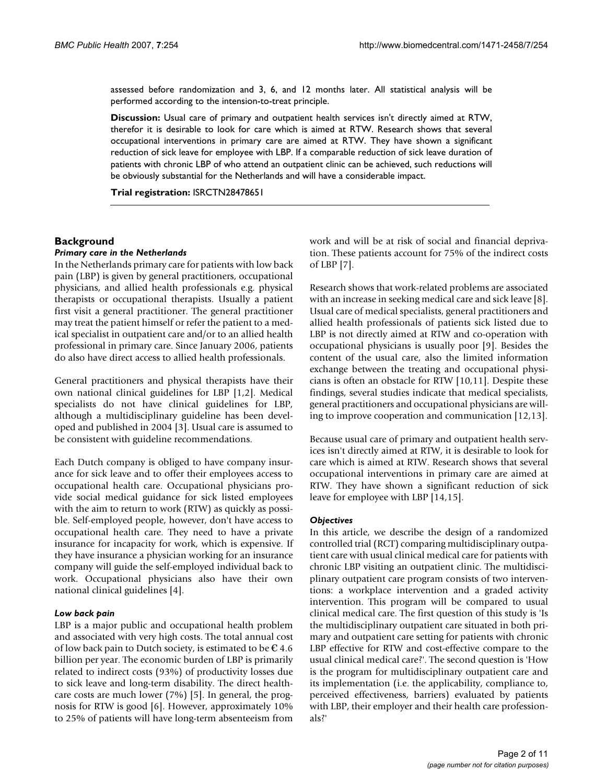assessed before randomization and 3, 6, and 12 months later. All statistical analysis will be performed according to the intension-to-treat principle.

**Discussion:** Usual care of primary and outpatient health services isn't directly aimed at RTW, therefor it is desirable to look for care which is aimed at RTW. Research shows that several occupational interventions in primary care are aimed at RTW. They have shown a significant reduction of sick leave for employee with LBP. If a comparable reduction of sick leave duration of patients with chronic LBP of who attend an outpatient clinic can be achieved, such reductions will be obviously substantial for the Netherlands and will have a considerable impact.

**Trial registration:** ISRCTN28478651

#### **Background**

#### *Primary care in the Netherlands*

In the Netherlands primary care for patients with low back pain (LBP) is given by general practitioners, occupational physicians, and allied health professionals e.g. physical therapists or occupational therapists. Usually a patient first visit a general practitioner. The general practitioner may treat the patient himself or refer the patient to a medical specialist in outpatient care and/or to an allied health professional in primary care. Since January 2006, patients do also have direct access to allied health professionals.

General practitioners and physical therapists have their own national clinical guidelines for LBP [1,2]. Medical specialists do not have clinical guidelines for LBP, although a multidisciplinary guideline has been developed and published in 2004 [3]. Usual care is assumed to be consistent with guideline recommendations.

Each Dutch company is obliged to have company insurance for sick leave and to offer their employees access to occupational health care. Occupational physicians provide social medical guidance for sick listed employees with the aim to return to work (RTW) as quickly as possible. Self-employed people, however, don't have access to occupational health care. They need to have a private insurance for incapacity for work, which is expensive. If they have insurance a physician working for an insurance company will guide the self-employed individual back to work. Occupational physicians also have their own national clinical guidelines [4].

#### *Low back pain*

LBP is a major public and occupational health problem and associated with very high costs. The total annual cost of low back pain to Dutch society, is estimated to be  $E$  4.6 billion per year. The economic burden of LBP is primarily related to indirect costs (93%) of productivity losses due to sick leave and long-term disability. The direct healthcare costs are much lower (7%) [5]. In general, the prognosis for RTW is good [6]. However, approximately 10% to 25% of patients will have long-term absenteeism from

work and will be at risk of social and financial deprivation. These patients account for 75% of the indirect costs of LBP [7].

Research shows that work-related problems are associated with an increase in seeking medical care and sick leave [8]. Usual care of medical specialists, general practitioners and allied health professionals of patients sick listed due to LBP is not directly aimed at RTW and co-operation with occupational physicians is usually poor [9]. Besides the content of the usual care, also the limited information exchange between the treating and occupational physicians is often an obstacle for RTW [10,11]. Despite these findings, several studies indicate that medical specialists, general practitioners and occupational physicians are willing to improve cooperation and communication [12,13].

Because usual care of primary and outpatient health services isn't directly aimed at RTW, it is desirable to look for care which is aimed at RTW. Research shows that several occupational interventions in primary care are aimed at RTW. They have shown a significant reduction of sick leave for employee with LBP [14,15].

#### *Objectives*

In this article, we describe the design of a randomized controlled trial (RCT) comparing multidisciplinary outpatient care with usual clinical medical care for patients with chronic LBP visiting an outpatient clinic. The multidisciplinary outpatient care program consists of two interventions: a workplace intervention and a graded activity intervention. This program will be compared to usual clinical medical care. The first question of this study is 'Is the multidisciplinary outpatient care situated in both primary and outpatient care setting for patients with chronic LBP effective for RTW and cost-effective compare to the usual clinical medical care?'. The second question is 'How is the program for multidisciplinary outpatient care and its implementation (i.e. the applicability, compliance to, perceived effectiveness, barriers) evaluated by patients with LBP, their employer and their health care professionals?'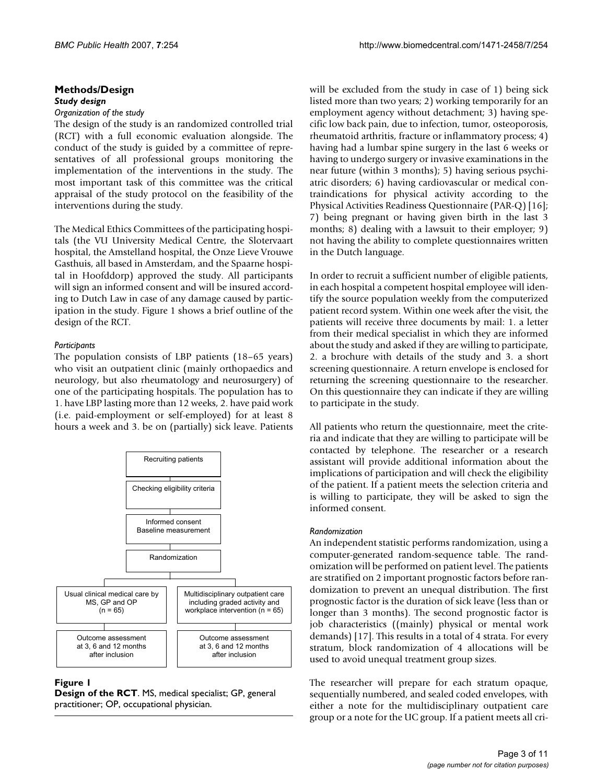### **Methods/Design** *Study design*

#### *Organization of the study*

The design of the study is an randomized controlled trial (RCT) with a full economic evaluation alongside. The conduct of the study is guided by a committee of representatives of all professional groups monitoring the implementation of the interventions in the study. The most important task of this committee was the critical appraisal of the study protocol on the feasibility of the interventions during the study.

The Medical Ethics Committees of the participating hospitals (the VU University Medical Centre, the Slotervaart hospital, the Amstelland hospital, the Onze Lieve Vrouwe Gasthuis, all based in Amsterdam, and the Spaarne hospital in Hoofddorp) approved the study. All participants will sign an informed consent and will be insured according to Dutch Law in case of any damage caused by participation in the study. Figure 1 shows a brief outline of the design of the RCT.

# *Participants*

The population consists of LBP patients (18–65 years) who visit an outpatient clinic (mainly orthopaedics and neurology, but also rheumatology and neurosurgery) of one of the participating hospitals. The population has to 1. have LBP lasting more than 12 weeks, 2. have paid work (i.e. paid-employment or self-employed) for at least 8 hours a week and 3. be on (partially) sick leave. Patients



# **Figure 1**

**Design of the RCT**. MS, medical specialist; GP, general practitioner; OP, occupational physician.

will be excluded from the study in case of 1) being sick listed more than two years; 2) working temporarily for an employment agency without detachment; 3) having specific low back pain, due to infection, tumor, osteoporosis, rheumatoid arthritis, fracture or inflammatory process; 4) having had a lumbar spine surgery in the last 6 weeks or having to undergo surgery or invasive examinations in the near future (within 3 months); 5) having serious psychiatric disorders; 6) having cardiovascular or medical contraindications for physical activity according to the Physical Activities Readiness Questionnaire (PAR-Q) [16]; 7) being pregnant or having given birth in the last 3 months; 8) dealing with a lawsuit to their employer; 9) not having the ability to complete questionnaires written in the Dutch language.

In order to recruit a sufficient number of eligible patients, in each hospital a competent hospital employee will identify the source population weekly from the computerized patient record system. Within one week after the visit, the patients will receive three documents by mail: 1. a letter from their medical specialist in which they are informed about the study and asked if they are willing to participate, 2. a brochure with details of the study and 3. a short screening questionnaire. A return envelope is enclosed for returning the screening questionnaire to the researcher. On this questionnaire they can indicate if they are willing to participate in the study.

All patients who return the questionnaire, meet the criteria and indicate that they are willing to participate will be contacted by telephone. The researcher or a research assistant will provide additional information about the implications of participation and will check the eligibility of the patient. If a patient meets the selection criteria and is willing to participate, they will be asked to sign the informed consent.

### *Randomization*

An independent statistic performs randomization, using a computer-generated random-sequence table. The randomization will be performed on patient level. The patients are stratified on 2 important prognostic factors before randomization to prevent an unequal distribution. The first prognostic factor is the duration of sick leave (less than or longer than 3 months). The second prognostic factor is job characteristics ((mainly) physical or mental work demands) [17]. This results in a total of 4 strata. For every stratum, block randomization of 4 allocations will be used to avoid unequal treatment group sizes.

The researcher will prepare for each stratum opaque, sequentially numbered, and sealed coded envelopes, with either a note for the multidisciplinary outpatient care group or a note for the UC group. If a patient meets all cri-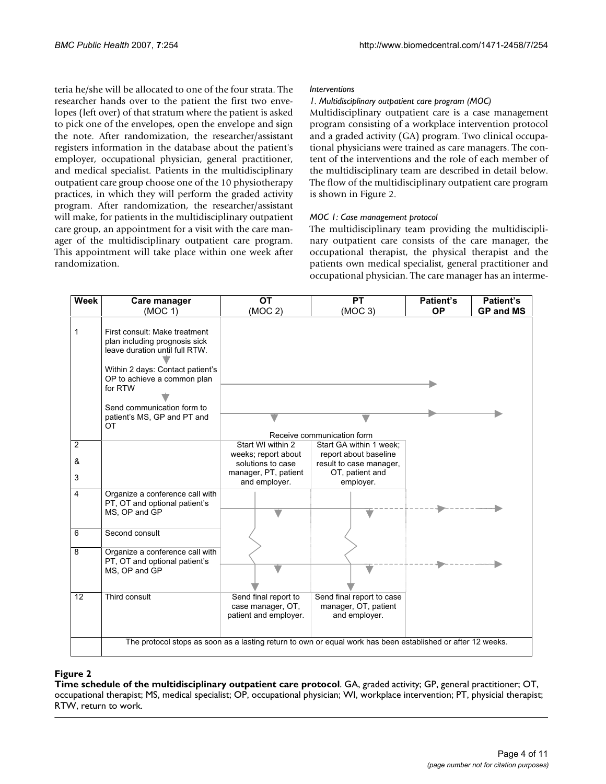teria he/she will be allocated to one of the four strata. The researcher hands over to the patient the first two envelopes (left over) of that stratum where the patient is asked to pick one of the envelopes, open the envelope and sign the note. After randomization, the researcher/assistant registers information in the database about the patient's employer, occupational physician, general practitioner, and medical specialist. Patients in the multidisciplinary outpatient care group choose one of the 10 physiotherapy practices, in which they will perform the graded activity program. After randomization, the researcher/assistant will make, for patients in the multidisciplinary outpatient care group, an appointment for a visit with the care manager of the multidisciplinary outpatient care program. This appointment will take place within one week after randomization.

#### *Interventions*

#### *1. Multidisciplinary outpatient care program (MOC)*

Multidisciplinary outpatient care is a case management program consisting of a workplace intervention protocol and a graded activity (GA) program. Two clinical occupational physicians were trained as care managers. The content of the interventions and the role of each member of the multidisciplinary team are described in detail below. The flow of the multidisciplinary outpatient care program is shown in Figure 2.

### *MOC 1: Case management protocol*

The multidisciplinary team providing the multidisciplinary outpatient care consists of the care manager, the occupational therapist, the physical therapist and the patients own medical specialist, general practitioner and occupational physician. The care manager has an interme-

| Week           | Care manager                                                                                                                                                                                                 | <b>PT</b><br><b>OT</b>                                             |                                                                                                             | Patient's | Patient's        |  |
|----------------|--------------------------------------------------------------------------------------------------------------------------------------------------------------------------------------------------------------|--------------------------------------------------------------------|-------------------------------------------------------------------------------------------------------------|-----------|------------------|--|
|                | (MOC 1)                                                                                                                                                                                                      | (MOC <sub>2</sub> )                                                | (MOC <sub>3</sub> )                                                                                         | <b>OP</b> | <b>GP and MS</b> |  |
| 1              | First consult: Make treatment<br>plan including prognosis sick<br>leave duration until full RTW.<br>Within 2 days: Contact patient's<br>OP to achieve a common plan<br>for RTW<br>Send communication form to |                                                                    |                                                                                                             |           |                  |  |
|                | patient's MS, GP and PT and<br>OT                                                                                                                                                                            |                                                                    |                                                                                                             |           |                  |  |
|                |                                                                                                                                                                                                              |                                                                    | Receive communication form                                                                                  |           |                  |  |
| $\overline{c}$ |                                                                                                                                                                                                              | Start WI within 2                                                  | Start GA within 1 week;                                                                                     |           |                  |  |
|                |                                                                                                                                                                                                              | weeks; report about                                                | report about baseline                                                                                       |           |                  |  |
| &              |                                                                                                                                                                                                              | solutions to case                                                  | result to case manager,                                                                                     |           |                  |  |
| 3              |                                                                                                                                                                                                              | manager, PT, patient                                               | OT, patient and                                                                                             |           |                  |  |
|                |                                                                                                                                                                                                              | and employer.                                                      | employer.                                                                                                   |           |                  |  |
| $\overline{4}$ | Organize a conference call with<br>PT, OT and optional patient's<br>MS, OP and GP                                                                                                                            |                                                                    |                                                                                                             |           |                  |  |
| 6              | Second consult                                                                                                                                                                                               |                                                                    |                                                                                                             |           |                  |  |
| 8              | Organize a conference call with<br>PT, OT and optional patient's<br>MS, OP and GP                                                                                                                            |                                                                    |                                                                                                             |           |                  |  |
| 12             | Third consult                                                                                                                                                                                                | Send final report to<br>case manager, OT,<br>patient and employer. | Send final report to case<br>manager, OT, patient<br>and employer.                                          |           |                  |  |
|                |                                                                                                                                                                                                              |                                                                    | The protocol stops as soon as a lasting return to own or equal work has been established or after 12 weeks. |           |                  |  |

### Figure 2

**Time schedule of the multidisciplinary outpatient care protocol**. GA, graded activity; GP, general practitioner; OT, occupational therapist; MS, medical specialist; OP, occupational physician; WI, workplace intervention; PT, physicial therapist; RTW, return to work.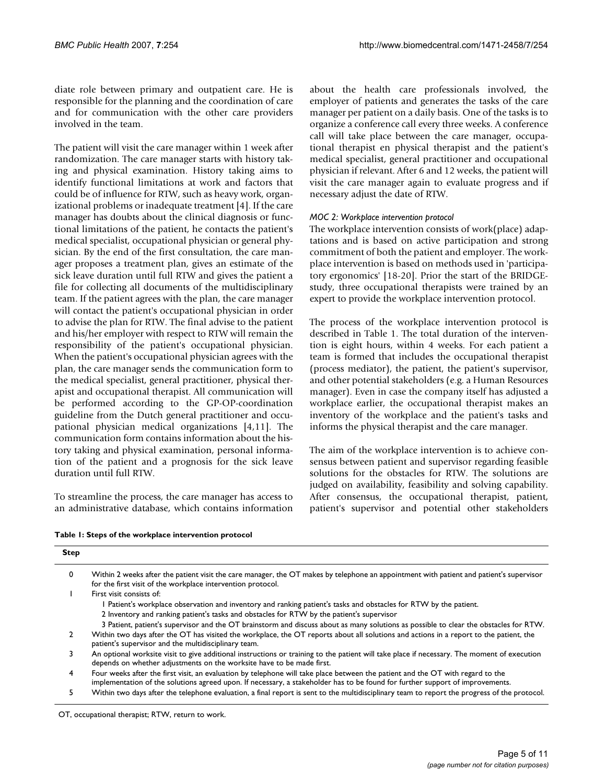diate role between primary and outpatient care. He is responsible for the planning and the coordination of care and for communication with the other care providers involved in the team.

The patient will visit the care manager within 1 week after randomization. The care manager starts with history taking and physical examination. History taking aims to identify functional limitations at work and factors that could be of influence for RTW, such as heavy work, organizational problems or inadequate treatment [4]. If the care manager has doubts about the clinical diagnosis or functional limitations of the patient, he contacts the patient's medical specialist, occupational physician or general physician. By the end of the first consultation, the care manager proposes a treatment plan, gives an estimate of the sick leave duration until full RTW and gives the patient a file for collecting all documents of the multidisciplinary team. If the patient agrees with the plan, the care manager will contact the patient's occupational physician in order to advise the plan for RTW. The final advise to the patient and his/her employer with respect to RTW will remain the responsibility of the patient's occupational physician. When the patient's occupational physician agrees with the plan, the care manager sends the communication form to the medical specialist, general practitioner, physical therapist and occupational therapist. All communication will be performed according to the GP-OP-coordination guideline from the Dutch general practitioner and occupational physician medical organizations [4,11]. The communication form contains information about the history taking and physical examination, personal information of the patient and a prognosis for the sick leave duration until full RTW.

To streamline the process, the care manager has access to an administrative database, which contains information about the health care professionals involved, the employer of patients and generates the tasks of the care manager per patient on a daily basis. One of the tasks is to organize a conference call every three weeks. A conference call will take place between the care manager, occupational therapist en physical therapist and the patient's medical specialist, general practitioner and occupational physician if relevant. After 6 and 12 weeks, the patient will visit the care manager again to evaluate progress and if necessary adjust the date of RTW.

### *MOC 2: Workplace intervention protocol*

The workplace intervention consists of work(place) adaptations and is based on active participation and strong commitment of both the patient and employer. The workplace intervention is based on methods used in 'participatory ergonomics' [18-20]. Prior the start of the BRIDGEstudy, three occupational therapists were trained by an expert to provide the workplace intervention protocol.

The process of the workplace intervention protocol is described in Table 1. The total duration of the intervention is eight hours, within 4 weeks. For each patient a team is formed that includes the occupational therapist (process mediator), the patient, the patient's supervisor, and other potential stakeholders (e.g. a Human Resources manager). Even in case the company itself has adjusted a workplace earlier, the occupational therapist makes an inventory of the workplace and the patient's tasks and informs the physical therapist and the care manager.

The aim of the workplace intervention is to achieve consensus between patient and supervisor regarding feasible solutions for the obstacles for RTW. The solutions are judged on availability, feasibility and solving capability. After consensus, the occupational therapist, patient, patient's supervisor and potential other stakeholders

**Table 1: Steps of the workplace intervention protocol**

| <b>Step</b> |                                                                                                                                                                                                                                                                 |
|-------------|-----------------------------------------------------------------------------------------------------------------------------------------------------------------------------------------------------------------------------------------------------------------|
| 0           | Within 2 weeks after the patient visit the care manager, the OT makes by telephone an appointment with patient and patient's supervisor<br>for the first visit of the workplace intervention protocol.                                                          |
|             | First visit consists of:                                                                                                                                                                                                                                        |
|             | I Patient's workplace observation and inventory and ranking patient's tasks and obstacles for RTW by the patient.                                                                                                                                               |
|             | 2 Inventory and ranking patient's tasks and obstacles for RTW by the patient's supervisor                                                                                                                                                                       |
|             | 3 Patient, patient's supervisor and the OT brainstorm and discuss about as many solutions as possible to clear the obstacles for RTW.                                                                                                                           |
|             | Within two days after the OT has visited the workplace, the OT reports about all solutions and actions in a report to the patient, the<br>patient's supervisor and the multidisciplinary team.                                                                  |
|             | An optional worksite visit to give additional instructions or training to the patient will take place if necessary. The moment of execution<br>depends on whether adjustments on the worksite have to be made first.                                            |
| 4           | Four weeks after the first visit, an evaluation by telephone will take place between the patient and the OT with regard to the<br>implementation of the solutions agreed upon. If necessary, a stakeholder has to be found for further support of improvements. |
|             | Within two days after the telephone evaluation, a final report is sent to the multidisciplinary team to report the progress of the protocol.                                                                                                                    |

OT, occupational therapist; RTW, return to work.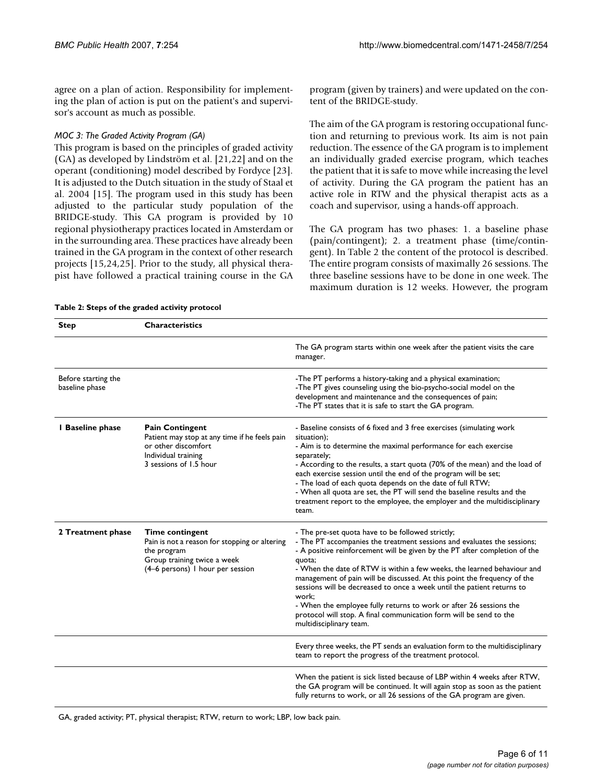agree on a plan of action. Responsibility for implementing the plan of action is put on the patient's and supervisor's account as much as possible.

# *MOC 3: The Graded Activity Program (GA)*

This program is based on the principles of graded activity (GA) as developed by Lindström et al. [21,22] and on the operant (conditioning) model described by Fordyce [23]. It is adjusted to the Dutch situation in the study of Staal et al. 2004 [15]. The program used in this study has been adjusted to the particular study population of the BRIDGE-study. This GA program is provided by 10 regional physiotherapy practices located in Amsterdam or in the surrounding area. These practices have already been trained in the GA program in the context of other research projects [15,24,25]. Prior to the study, all physical therapist have followed a practical training course in the GA program (given by trainers) and were updated on the content of the BRIDGE-study.

The aim of the GA program is restoring occupational function and returning to previous work. Its aim is not pain reduction. The essence of the GA program is to implement an individually graded exercise program, which teaches the patient that it is safe to move while increasing the level of activity. During the GA program the patient has an active role in RTW and the physical therapist acts as a coach and supervisor, using a hands-off approach.

The GA program has two phases: 1. a baseline phase (pain/contingent); 2. a treatment phase (time/contingent). In Table 2 the content of the protocol is described. The entire program consists of maximally 26 sessions. The three baseline sessions have to be done in one week. The maximum duration is 12 weeks. However, the program

| <b>Step</b>                           | <b>Characteristics</b>                                                                                                                                    |                                                                                                                                                                                                                                                                                                                                                                                                                                                                                                                                                                                                                                       |
|---------------------------------------|-----------------------------------------------------------------------------------------------------------------------------------------------------------|---------------------------------------------------------------------------------------------------------------------------------------------------------------------------------------------------------------------------------------------------------------------------------------------------------------------------------------------------------------------------------------------------------------------------------------------------------------------------------------------------------------------------------------------------------------------------------------------------------------------------------------|
|                                       |                                                                                                                                                           | The GA program starts within one week after the patient visits the care<br>manager.                                                                                                                                                                                                                                                                                                                                                                                                                                                                                                                                                   |
| Before starting the<br>baseline phase |                                                                                                                                                           | -The PT performs a history-taking and a physical examination;<br>-The PT gives counseling using the bio-psycho-social model on the<br>development and maintenance and the consequences of pain;<br>-The PT states that it is safe to start the GA program.                                                                                                                                                                                                                                                                                                                                                                            |
| I Baseline phase                      | <b>Pain Contingent</b><br>Patient may stop at any time if he feels pain<br>or other discomfort<br>Individual training<br>3 sessions of 1.5 hour           | - Baseline consists of 6 fixed and 3 free exercises (simulating work<br>situation);<br>- Aim is to determine the maximal performance for each exercise<br>separately;<br>- According to the results, a start quota (70% of the mean) and the load of<br>each exercise session until the end of the program will be set;<br>- The load of each quota depends on the date of full RTW;<br>- When all quota are set, the PT will send the baseline results and the<br>treatment report to the employee, the employer and the multidisciplinary<br>team.                                                                                  |
| 2 Treatment phase                     | <b>Time contingent</b><br>Pain is not a reason for stopping or altering<br>the program<br>Group training twice a week<br>(4-6 persons) I hour per session | - The pre-set quota have to be followed strictly;<br>- The PT accompanies the treatment sessions and evaluates the sessions;<br>- A positive reinforcement will be given by the PT after completion of the<br>quota;<br>- When the date of RTW is within a few weeks, the learned behaviour and<br>management of pain will be discussed. At this point the frequency of the<br>sessions will be decreased to once a week until the patient returns to<br>work:<br>- When the employee fully returns to work or after 26 sessions the<br>protocol will stop. A final communication form will be send to the<br>multidisciplinary team. |
|                                       |                                                                                                                                                           | Every three weeks, the PT sends an evaluation form to the multidisciplinary<br>team to report the progress of the treatment protocol.                                                                                                                                                                                                                                                                                                                                                                                                                                                                                                 |
|                                       |                                                                                                                                                           | When the patient is sick listed because of LBP within 4 weeks after RTW,<br>the GA program will be continued. It will again stop as soon as the patient<br>fully returns to work, or all 26 sessions of the GA program are given.                                                                                                                                                                                                                                                                                                                                                                                                     |

**Table 2: Steps of the graded activity protocol**

GA, graded activity; PT, physical therapist; RTW, return to work; LBP, low back pain.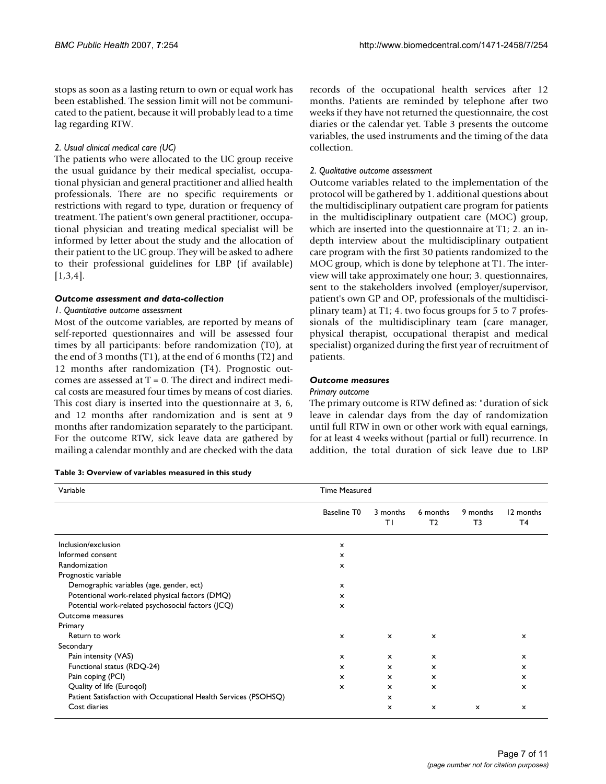stops as soon as a lasting return to own or equal work has been established. The session limit will not be communicated to the patient, because it will probably lead to a time lag regarding RTW.

### *2. Usual clinical medical care (UC)*

The patients who were allocated to the UC group receive the usual guidance by their medical specialist, occupational physician and general practitioner and allied health professionals. There are no specific requirements or restrictions with regard to type, duration or frequency of treatment. The patient's own general practitioner, occupational physician and treating medical specialist will be informed by letter about the study and the allocation of their patient to the UC group. They will be asked to adhere to their professional guidelines for LBP (if available) [1,3,4].

#### *Outcome assessment and data-collection*

#### *1. Quantitative outcome assessment*

Most of the outcome variables, are reported by means of self-reported questionnaires and will be assessed four times by all participants: before randomization (T0), at the end of 3 months (T1), at the end of 6 months (T2) and 12 months after randomization (T4). Prognostic outcomes are assessed at  $T = 0$ . The direct and indirect medical costs are measured four times by means of cost diaries. This cost diary is inserted into the questionnaire at 3, 6, and 12 months after randomization and is sent at 9 months after randomization separately to the participant. For the outcome RTW, sick leave data are gathered by mailing a calendar monthly and are checked with the data

|  |  |  |  | Table 3: Overview of variables measured in this study |  |  |  |
|--|--|--|--|-------------------------------------------------------|--|--|--|
|--|--|--|--|-------------------------------------------------------|--|--|--|

records of the occupational health services after 12 months. Patients are reminded by telephone after two weeks if they have not returned the questionnaire, the cost diaries or the calendar yet. Table 3 presents the outcome variables, the used instruments and the timing of the data collection.

#### *2. Qualitative outcome assessment*

Outcome variables related to the implementation of the protocol will be gathered by 1. additional questions about the multidisciplinary outpatient care program for patients in the multidisciplinary outpatient care (MOC) group, which are inserted into the questionnaire at T1; 2. an indepth interview about the multidisciplinary outpatient care program with the first 30 patients randomized to the MOC group, which is done by telephone at T1. The interview will take approximately one hour; 3. questionnaires, sent to the stakeholders involved (employer/supervisor, patient's own GP and OP, professionals of the multidisciplinary team) at T1; 4. two focus groups for 5 to 7 professionals of the multidisciplinary team (care manager, physical therapist, occupational therapist and medical specialist) organized during the first year of recruitment of patients.

#### *Outcome measures*

#### *Primary outcome*

The primary outcome is RTW defined as: "duration of sick leave in calendar days from the day of randomization until full RTW in own or other work with equal earnings, for at least 4 weeks without (partial or full) recurrence. In addition, the total duration of sick leave due to LBP

| Variable                                                        | <b>Time Measured</b>      |                           |                            |                |                 |  |  |
|-----------------------------------------------------------------|---------------------------|---------------------------|----------------------------|----------------|-----------------|--|--|
|                                                                 | Baseline T0               | 3 months<br>ΤI            | 6 months<br>T <sub>2</sub> | 9 months<br>T3 | 12 months<br>T4 |  |  |
| Inclusion/exclusion                                             | $\boldsymbol{\mathsf{x}}$ |                           |                            |                |                 |  |  |
| Informed consent                                                | $\mathsf{x}$              |                           |                            |                |                 |  |  |
| Randomization                                                   | x                         |                           |                            |                |                 |  |  |
| Prognostic variable                                             |                           |                           |                            |                |                 |  |  |
| Demographic variables (age, gender, ect)                        | $\mathsf{x}$              |                           |                            |                |                 |  |  |
| Potentional work-related physical factors (DMQ)                 | $\mathsf{x}$              |                           |                            |                |                 |  |  |
| Potential work-related psychosocial factors (JCQ)               | $\boldsymbol{\mathsf{x}}$ |                           |                            |                |                 |  |  |
| Outcome measures                                                |                           |                           |                            |                |                 |  |  |
| Primary                                                         |                           |                           |                            |                |                 |  |  |
| Return to work                                                  | $\mathsf{x}$              | $\boldsymbol{\mathsf{x}}$ | $\boldsymbol{\mathsf{x}}$  |                | $\mathsf{x}$    |  |  |
| Secondary                                                       |                           |                           |                            |                |                 |  |  |
| Pain intensity (VAS)                                            | $\mathsf{x}$              | $\boldsymbol{\mathsf{x}}$ | x                          |                | $\mathsf{x}$    |  |  |
| Functional status (RDQ-24)                                      | $\mathsf{x}$              | $\mathsf{x}$              | $\mathsf{x}$               |                | x               |  |  |
| Pain coping (PCI)                                               | $\mathsf{x}$              | $\boldsymbol{\mathsf{x}}$ | $\mathsf{x}$               |                | $\mathsf{x}$    |  |  |
| Quality of life (Eurogol)                                       | $\mathbf{x}$              | $\mathsf{x}$              | $\mathsf{x}$               |                | $\mathsf{x}$    |  |  |
| Patient Satisfaction with Occupational Health Services (PSOHSQ) |                           | $\boldsymbol{\mathsf{x}}$ |                            |                |                 |  |  |
| Cost diaries                                                    |                           | $\boldsymbol{\mathsf{x}}$ | $\boldsymbol{\mathsf{x}}$  | x              | x               |  |  |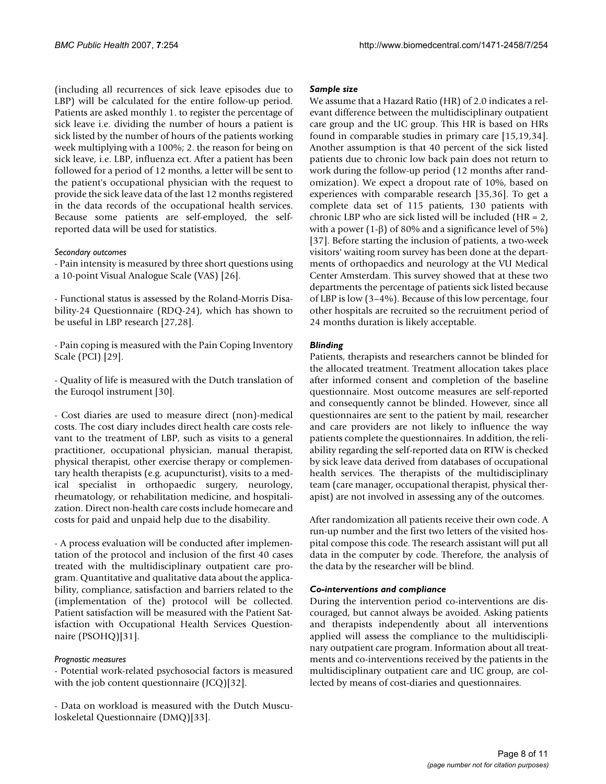(including all recurrences of sick leave episodes due to LBP) will be calculated for the entire follow-up period. Patients are asked monthly 1. to register the percentage of sick leave i.e. dividing the number of hours a patient is sick listed by the number of hours of the patients working week multiplying with a 100%; 2. the reason for being on sick leave, i.e. LBP, influenza ect. After a patient has been followed for a period of 12 months, a letter will be sent to the patient's occupational physician with the request to provide the sick leave data of the last 12 months registered in the data records of the occupational health services. Because some patients are self-employed, the selfreported data will be used for statistics.

#### *Secondary outcomes*

- Pain intensity is measured by three short questions using a 10-point Visual Analogue Scale (VAS) [26].

- Functional status is assessed by the Roland-Morris Disability-24 Questionnaire (RDQ-24), which has shown to be useful in LBP research [27,28].

- Pain coping is measured with the Pain Coping Inventory Scale (PCI) [29].

- Quality of life is measured with the Dutch translation of the Euroqol instrument [30].

- Cost diaries are used to measure direct (non)-medical costs. The cost diary includes direct health care costs relevant to the treatment of LBP, such as visits to a general practitioner, occupational physician, manual therapist, physical therapist, other exercise therapy or complementary health therapists (e.g. acupuncturist), visits to a medical specialist in orthopaedic surgery, neurology, rheumatology, or rehabilitation medicine, and hospitalization. Direct non-health care costs include homecare and costs for paid and unpaid help due to the disability.

- A process evaluation will be conducted after implementation of the protocol and inclusion of the first 40 cases treated with the multidisciplinary outpatient care program. Quantitative and qualitative data about the applicability, compliance, satisfaction and barriers related to the (implementation of the) protocol will be collected. Patient satisfaction will be measured with the Patient Satisfaction with Occupational Health Services Questionnaire (PSOHQ)[31].

### *Prognostic measures*

- Potential work-related psychosocial factors is measured with the job content questionnaire (JCQ)[32].

- Data on workload is measured with the Dutch Musculoskeletal Questionnaire (DMQ)[33].

#### *Sample size*

We assume that a Hazard Ratio (HR) of 2.0 indicates a relevant difference between the multidisciplinary outpatient care group and the UC group. This HR is based on HRs found in comparable studies in primary care [15,19,34]. Another assumption is that 40 percent of the sick listed patients due to chronic low back pain does not return to work during the follow-up period (12 months after randomization). We expect a dropout rate of 10%, based on experiences with comparable research [35,36]. To get a complete data set of 115 patients, 130 patients with chronic LBP who are sick listed will be included (HR = 2, with a power  $(1-\beta)$  of 80% and a significance level of 5%) [37]. Before starting the inclusion of patients, a two-week visitors' waiting room survey has been done at the departments of orthopaedics and neurology at the VU Medical Center Amsterdam. This survey showed that at these two departments the percentage of patients sick listed because of LBP is low (3–4%). Because of this low percentage, four other hospitals are recruited so the recruitment period of 24 months duration is likely acceptable.

#### *Blinding*

Patients, therapists and researchers cannot be blinded for the allocated treatment. Treatment allocation takes place after informed consent and completion of the baseline questionnaire. Most outcome measures are self-reported and consequently cannot be blinded. However, since all questionnaires are sent to the patient by mail, researcher and care providers are not likely to influence the way patients complete the questionnaires. In addition, the reliability regarding the self-reported data on RTW is checked by sick leave data derived from databases of occupational health services. The therapists of the multidisciplinary team (care manager, occupational therapist, physical therapist) are not involved in assessing any of the outcomes.

After randomization all patients receive their own code. A run-up number and the first two letters of the visited hospital compose this code. The research assistant will put all data in the computer by code. Therefore, the analysis of the data by the researcher will be blind.

### *Co-interventions and compliance*

During the intervention period co-interventions are discouraged, but cannot always be avoided. Asking patients and therapists independently about all interventions applied will assess the compliance to the multidisciplinary outpatient care program. Information about all treatments and co-interventions received by the patients in the multidisciplinary outpatient care and UC group, are collected by means of cost-diaries and questionnaires.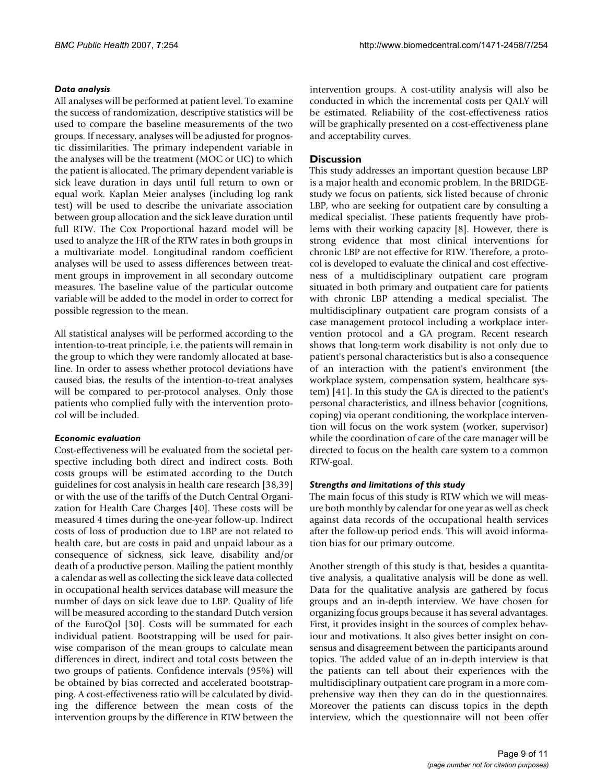# *Data analysis*

All analyses will be performed at patient level. To examine the success of randomization, descriptive statistics will be used to compare the baseline measurements of the two groups. If necessary, analyses will be adjusted for prognostic dissimilarities. The primary independent variable in the analyses will be the treatment (MOC or UC) to which the patient is allocated. The primary dependent variable is sick leave duration in days until full return to own or equal work. Kaplan Meier analyses (including log rank test) will be used to describe the univariate association between group allocation and the sick leave duration until full RTW. The Cox Proportional hazard model will be used to analyze the HR of the RTW rates in both groups in a multivariate model. Longitudinal random coefficient analyses will be used to assess differences between treatment groups in improvement in all secondary outcome measures. The baseline value of the particular outcome variable will be added to the model in order to correct for possible regression to the mean.

All statistical analyses will be performed according to the intention-to-treat principle, i.e. the patients will remain in the group to which they were randomly allocated at baseline. In order to assess whether protocol deviations have caused bias, the results of the intention-to-treat analyses will be compared to per-protocol analyses. Only those patients who complied fully with the intervention protocol will be included.

# *Economic evaluation*

Cost-effectiveness will be evaluated from the societal perspective including both direct and indirect costs. Both costs groups will be estimated according to the Dutch guidelines for cost analysis in health care research [38,39] or with the use of the tariffs of the Dutch Central Organization for Health Care Charges [40]. These costs will be measured 4 times during the one-year follow-up. Indirect costs of loss of production due to LBP are not related to health care, but are costs in paid and unpaid labour as a consequence of sickness, sick leave, disability and/or death of a productive person. Mailing the patient monthly a calendar as well as collecting the sick leave data collected in occupational health services database will measure the number of days on sick leave due to LBP. Quality of life will be measured according to the standard Dutch version of the EuroQol [30]. Costs will be summated for each individual patient. Bootstrapping will be used for pairwise comparison of the mean groups to calculate mean differences in direct, indirect and total costs between the two groups of patients. Confidence intervals (95%) will be obtained by bias corrected and accelerated bootstrapping. A cost-effectiveness ratio will be calculated by dividing the difference between the mean costs of the intervention groups by the difference in RTW between the intervention groups. A cost-utility analysis will also be conducted in which the incremental costs per QALY will be estimated. Reliability of the cost-effectiveness ratios will be graphically presented on a cost-effectiveness plane and acceptability curves.

# **Discussion**

This study addresses an important question because LBP is a major health and economic problem. In the BRIDGEstudy we focus on patients, sick listed because of chronic LBP, who are seeking for outpatient care by consulting a medical specialist. These patients frequently have problems with their working capacity [8]. However, there is strong evidence that most clinical interventions for chronic LBP are not effective for RTW. Therefore, a protocol is developed to evaluate the clinical and cost effectiveness of a multidisciplinary outpatient care program situated in both primary and outpatient care for patients with chronic LBP attending a medical specialist. The multidisciplinary outpatient care program consists of a case management protocol including a workplace intervention protocol and a GA program. Recent research shows that long-term work disability is not only due to patient's personal characteristics but is also a consequence of an interaction with the patient's environment (the workplace system, compensation system, healthcare system) [41]. In this study the GA is directed to the patient's personal characteristics, and illness behavior (cognitions, coping) via operant conditioning, the workplace intervention will focus on the work system (worker, supervisor) while the coordination of care of the care manager will be directed to focus on the health care system to a common RTW-goal.

### *Strengths and limitations of this study*

The main focus of this study is RTW which we will measure both monthly by calendar for one year as well as check against data records of the occupational health services after the follow-up period ends. This will avoid information bias for our primary outcome.

Another strength of this study is that, besides a quantitative analysis, a qualitative analysis will be done as well. Data for the qualitative analysis are gathered by focus groups and an in-depth interview. We have chosen for organizing focus groups because it has several advantages. First, it provides insight in the sources of complex behaviour and motivations. It also gives better insight on consensus and disagreement between the participants around topics. The added value of an in-depth interview is that the patients can tell about their experiences with the multidisciplinary outpatient care program in a more comprehensive way then they can do in the questionnaires. Moreover the patients can discuss topics in the depth interview, which the questionnaire will not been offer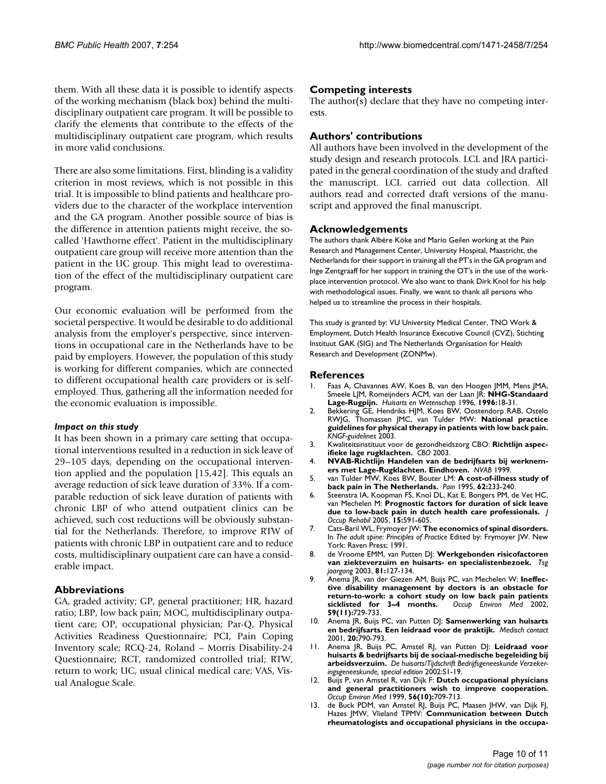them. With all these data it is possible to identify aspects of the working mechanism (black box) behind the multidisciplinary outpatient care program. It will be possible to clarify the elements that contribute to the effects of the multidisciplinary outpatient care program, which results in more valid conclusions.

There are also some limitations. First, blinding is a validity criterion in most reviews, which is not possible in this trial. It is impossible to blind patients and healthcare providers due to the character of the workplace intervention and the GA program. Another possible source of bias is the difference in attention patients might receive, the socalled 'Hawthorne effect'. Patient in the multidisciplinary outpatient care group will receive more attention than the patient in the UC group. This might lead to overestimation of the effect of the multidisciplinary outpatient care program.

Our economic evaluation will be performed from the societal perspective. It would be desirable to do additional analysis from the employer's perspective, since interventions in occupational care in the Netherlands have to be paid by employers. However, the population of this study is working for different companies, which are connected to different occupational health care providers or is selfemployed. Thus, gathering all the information needed for the economic evaluation is impossible.

#### *Impact on this study*

It has been shown in a primary care setting that occupational interventions resulted in a reduction in sick leave of 29–105 days, depending on the occupational intervention applied and the population [15,42]. This equals an average reduction of sick leave duration of 33%. If a comparable reduction of sick leave duration of patients with chronic LBP of who attend outpatient clinics can be achieved, such cost reductions will be obviously substantial for the Netherlands. Therefore, to improve RTW of patients with chronic LBP in outpatient care and to reduce costs, multidisciplinary outpatient care can have a considerable impact.

### **Abbreviations**

GA, graded activity; GP, general practitioner; HR, hazard ratio; LBP, low back pain; MOC, multidisciplinary outpatient care; OP, occupational physician; Par-Q, Physical Activities Readiness Questionnaire; PCI, Pain Coping Inventory scale; RCQ-24, Roland – Morris Disability-24 Questionnaire; RCT, randomized controlled trial; RTW, return to work; UC, usual clinical medical care; VAS, Visual Analogue Scale.

#### **Competing interests**

The author(s) declare that they have no competing interests.

#### **Authors' contributions**

All authors have been involved in the development of the study design and research protocols. LCL and JRA participated in the general coordination of the study and drafted the manuscript. LCL carried out data collection. All authors read and corrected draft versions of the manuscript and approved the final manuscript.

#### **Acknowledgements**

The authors thank Albére Köke and Mario Geilen working at the Pain Research and Management Center, University Hospital, Maastricht, the Netherlands for their support in training all the PT's in the GA program and Inge Zentgraaff for her support in training the OT's in the use of the workplace intervention protocol. We also want to thank Dirk Knol for his help with methodological issues. Finally, we want to thank all persons who helped us to streamline the process in their hospitals.

This study is granted by: VU University Medical Center, TNO Work & Employment, Dutch Health Insurance Executive Council (CVZ), Stichting Instituut GAK (SIG) and The Netherlands Organisation for Health Research and Development (ZONMw).

#### **References**

- Faas A, Chavannes AW, Koes B, van den Hoogen JMM, Mens JMA, Smeele LJM, Romeijnders ACM, van der Laan JR: **NHG-Standaard Lage-Rugpijn.** *Huisarts en Wetenschap* 1996, **1996:**18-31.
- 2. Bekkering GE, Hendriks HJM, Koes BW, Oostendorp RAB, Ostelo RWJG, Thomassen JMC, van Tulder MW: **National practice guidelines for physical therapy in patients with low back pain.** *KNGF-guidelines* 2003.
- 3. Kwaliteitsinstituut voor de gezondheidszorg CBO: **Richtlijn aspecifieke lage rugklachten.** *CBO* 2003.
- 4. **NVAB-Richtlijn Handelen van de bedrijfsarts bij werknemers met Lage-Rugklachten. Eindhoven.** *NVAB* 1999.
- 5. van Tulder MW, Koes BW, Bouter LM: **[A cost-of-illness study of](http://www.ncbi.nlm.nih.gov/entrez/query.fcgi?cmd=Retrieve&db=PubMed&dopt=Abstract&list_uids=8545149) [back pain in The Netherlands.](http://www.ncbi.nlm.nih.gov/entrez/query.fcgi?cmd=Retrieve&db=PubMed&dopt=Abstract&list_uids=8545149)** *Pain* 1995, **62:**233-240.
- 6. Steenstra IA, Koopman FS, Knol DL, Kat E, Bongers PM, de Vet HC, van Mechelen M: **[Prognostic factors for duration of sick leave](http://www.ncbi.nlm.nih.gov/entrez/query.fcgi?cmd=Retrieve&db=PubMed&dopt=Abstract&list_uids=16254758) [due to low-back pain in dutch health care professionals.](http://www.ncbi.nlm.nih.gov/entrez/query.fcgi?cmd=Retrieve&db=PubMed&dopt=Abstract&list_uids=16254758)** *J Occup Rehabil* 2005, **15:**591-605.
- 7. Cats-Baril WL, Frymoyer JW: **The economics of spinal disorders.** In *The adult spine: Principles of Practice* Edited by: Frymoyer JW. New York: Raven Press; 1991.
- 8. de Vroome EMM, van Putten DJ: **Werkgebonden risicofactoren van ziekteverzuim en huisarts- en specialistenbezoek.** *Tsg jaargang* 2003, **81:**127-134.
- 9. Anema JR, van der Giezen AM, Buijs PC, van Mechelen W: **[Ineffec](http://www.ncbi.nlm.nih.gov/entrez/query.fcgi?cmd=Retrieve&db=PubMed&dopt=Abstract&list_uids=12409530)tive disability management by doctors is an obstacle for [return-to-work: a cohort study on low back pain patients](http://www.ncbi.nlm.nih.gov/entrez/query.fcgi?cmd=Retrieve&db=PubMed&dopt=Abstract&list_uids=12409530) [sicklisted for 3–4 months.](http://www.ncbi.nlm.nih.gov/entrez/query.fcgi?cmd=Retrieve&db=PubMed&dopt=Abstract&list_uids=12409530)** *Occup Environ Med* 2002, **59(11):**729-733.
- 10. Anema JR, Buijs PC, van Putten DJ: **Samenwerking van huisarts en bedrijfsarts. Een leidraad voor de praktijk.** *Medisch contact* 2001, **20:**790-793.
- 11. Anema JR, Buijs PC, Amstel RJ, van Putten DJ: **Leidraad voor huisarts & bedrijfsarts bij de sociaal-medische begeleiding bij arbeidsverzuim.** *De huisarts/Tijdschrift Bedrijfsgeneeskunde Verzekeringsgeneeskunde, special edition* 2002:S1-19.
- 12. Buijs P, van Amstel R, van Dijk F: **[Dutch occupational physicians](http://www.ncbi.nlm.nih.gov/entrez/query.fcgi?cmd=Retrieve&db=PubMed&dopt=Abstract&list_uids=10658552) [and general practitioners wish to improve cooperation.](http://www.ncbi.nlm.nih.gov/entrez/query.fcgi?cmd=Retrieve&db=PubMed&dopt=Abstract&list_uids=10658552)** *Occup Environ Med* 1999, **56(10):**709-713.
- 13. de Buck PDM, van Amstel RJ, Buijs PC, Maasen JHW, van Dijk FJ, Hazes JMW, Vlieland TPMV: **[Communication between Dutch](http://www.ncbi.nlm.nih.gov/entrez/query.fcgi?cmd=Retrieve&db=PubMed&dopt=Abstract&list_uids=11779762) [rheumatologists and occupational physicians in the occupa](http://www.ncbi.nlm.nih.gov/entrez/query.fcgi?cmd=Retrieve&db=PubMed&dopt=Abstract&list_uids=11779762)-**